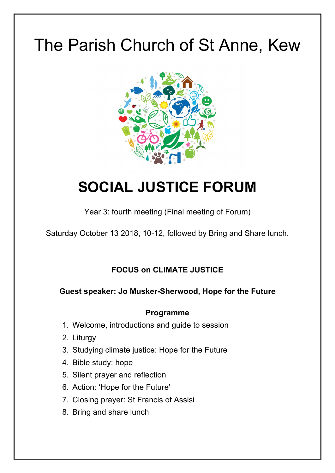# The Parish Church of St Anne, Kew



## **SOCIAL JUSTICE FORUM**

Year 3: fourth meeting (Final meeting of Forum)

Saturday October 13 2018, 10-12, followed by Bring and Share lunch.

## **FOCUS on CLIMATE JUSTICE**

## **Guest speaker: Jo Musker-Sherwood, Hope for the Future**

#### **Programme**

- 1. Welcome, introductions and guide to session
- 2. Liturgy
- 3. Studying climate justice: Hope for the Future
- 4. Bible study: hope
- 5. Silent prayer and reflection
- 6. Action: 'Hope for the Future'
- 7. Closing prayer: St Francis of Assisi
- 8. Bring and share lunch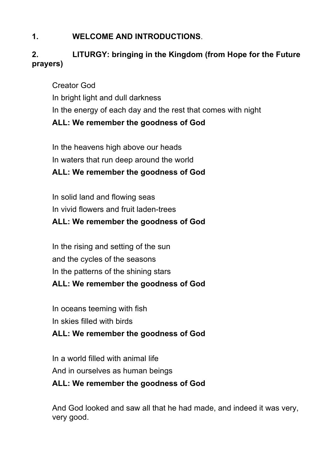## **1. WELCOME AND INTRODUCTIONS**.

## **2. LITURGY: bringing in the Kingdom (from Hope for the Future prayers)**

Creator God In bright light and dull darkness In the energy of each day and the rest that comes with night **ALL: We remember the goodness of God**

In the heavens high above our heads In waters that run deep around the world **ALL: We remember the goodness of God**

In solid land and flowing seas In vivid flowers and fruit laden-trees

## **ALL: We remember the goodness of God**

In the rising and setting of the sun and the cycles of the seasons In the patterns of the shining stars

## **ALL: We remember the goodness of God**

- In oceans teeming with fish
- In skies filled with birds
- **ALL: We remember the goodness of God**

In a world filled with animal life And in ourselves as human beings

## **ALL: We remember the goodness of God**

And God looked and saw all that he had made, and indeed it was very, very good.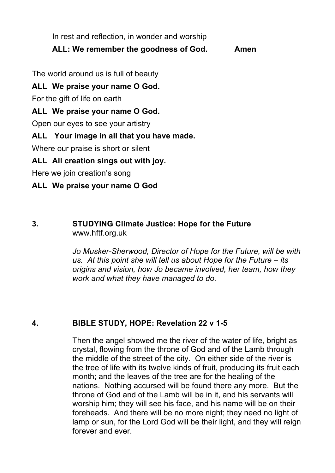In rest and reflection, in wonder and worship

## **ALL: We remember the goodness of God. Amen**

The world around us is full of beauty

**ALL We praise your name O God.**

For the gift of life on earth

## **ALL We praise your name O God.**

Open our eyes to see your artistry

## **ALL Your image in all that you have made.**

Where our praise is short or silent

## **ALL All creation sings out with joy.**

Here we join creation's song

## **ALL We praise your name O God**

#### **3. STUDYING Climate Justice: Hope for the Future**  www.hftf.org.uk

*Jo Musker-Sherwood, Director of Hope for the Future, will be with us. At this point she will tell us about Hope for the Future – its origins and vision, how Jo became involved, her team, how they work and what they have managed to do.* 

#### **4. BIBLE STUDY, HOPE: Revelation 22 v 1-5**

Then the angel showed me the river of the water of life, bright as crystal, flowing from the throne of God and of the Lamb through the middle of the street of the city. On either side of the river is the tree of life with its twelve kinds of fruit, producing its fruit each month; and the leaves of the tree are for the healing of the nations. Nothing accursed will be found there any more. But the throne of God and of the Lamb will be in it, and his servants will worship him; they will see his face, and his name will be on their foreheads. And there will be no more night; they need no light of lamp or sun, for the Lord God will be their light, and they will reign forever and ever.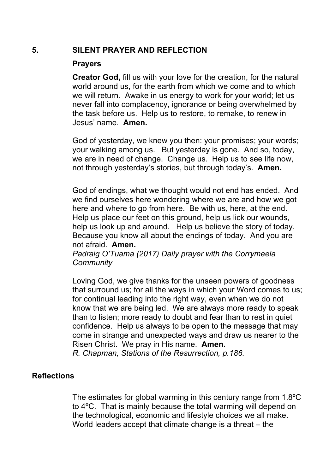#### **5. SILENT PRAYER AND REFLECTION**

#### **Prayers**

**Creator God,** fill us with your love for the creation, for the natural world around us, for the earth from which we come and to which we will return. Awake in us energy to work for your world; let us never fall into complacency, ignorance or being overwhelmed by the task before us. Help us to restore, to remake, to renew in Jesus' name. **Amen.**

God of yesterday, we knew you then: your promises; your words; your walking among us. But yesterday is gone. And so, today, we are in need of change. Change us. Help us to see life now, not through yesterday's stories, but through today's. **Amen.**

God of endings, what we thought would not end has ended. And we find ourselves here wondering where we are and how we got here and where to go from here. Be with us, here, at the end. Help us place our feet on this ground, help us lick our wounds, help us look up and around. Help us believe the story of today. Because you know all about the endings of today. And you are not afraid. **Amen.**

*Padraig O'Tuama (2017) Daily prayer with the Corrymeela Community* 

Loving God, we give thanks for the unseen powers of goodness that surround us; for all the ways in which your Word comes to us; for continual leading into the right way, even when we do not know that we are being led. We are always more ready to speak than to listen; more ready to doubt and fear than to rest in quiet confidence. Help us always to be open to the message that may come in strange and unexpected ways and draw us nearer to the Risen Christ. We pray in His name. **Amen.**

*R. Chapman, Stations of the Resurrection, p.186.*

#### **Reflections**

The estimates for global warming in this century range from 1.8ºC to 4ºC. That is mainly because the total warming will depend on the technological, economic and lifestyle choices we all make. World leaders accept that climate change is a threat – the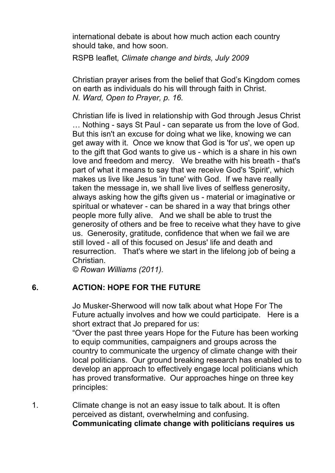international debate is about how much action each country should take, and how soon.

RSPB leaflet*, Climate change and birds, July 2009*

Christian prayer arises from the belief that God's Kingdom comes on earth as individuals do his will through faith in Christ. *N. Ward, Open to Prayer, p. 16.* 

Christian life is lived in relationship with God through Jesus Christ … Nothing - says St Paul - can separate us from the love of God. But this isn't an excuse for doing what we like, knowing we can get away with it. Once we know that God is 'for us', we open up to the gift that God wants to give us - which is a share in his own love and freedom and mercy. We breathe with his breath - that's part of what it means to say that we receive God's 'Spirit', which makes us live like Jesus 'in tune' with God. If we have really taken the message in, we shall live lives of selfless generosity, always asking how the gifts given us - material or imaginative or spiritual or whatever - can be shared in a way that brings other people more fully alive. And we shall be able to trust the generosity of others and be free to receive what they have to give us. Generosity, gratitude, confidence that when we fail we are still loved - all of this focused on Jesus' life and death and resurrection. That's where we start in the lifelong job of being a Christian.

*© Rowan Williams (2011).* 

#### **6. ACTION: HOPE FOR THE FUTURE**

Jo Musker-Sherwood will now talk about what Hope For The Future actually involves and how we could participate. Here is a short extract that Jo prepared for us:

"Over the past three years Hope for the Future has been working to equip communities, campaigners and groups across the country to communicate the urgency of climate change with their local politicians. Our ground breaking research has enabled us to develop an approach to effectively engage local politicians which has proved transformative. Our approaches hinge on three key principles:

1. Climate change is not an easy issue to talk about. It is often perceived as distant, overwhelming and confusing. **Communicating climate change with politicians requires us**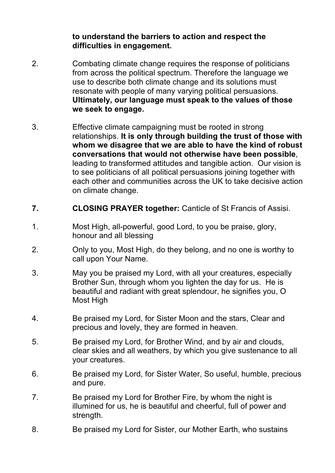**to understand the barriers to action and respect the difficulties in engagement.**

- 2. Combating climate change requires the response of politicians from across the political spectrum. Therefore the language we use to describe both climate change and its solutions must resonate with people of many varying political persuasions. **Ultimately, our language must speak to the values of those we seek to engage.**
- 3. Effective climate campaigning must be rooted in strong relationships. **It is only through building the trust of those with whom we disagree that we are able to have the kind of robust conversations that would not otherwise have been possible**, leading to transformed attitudes and tangible action. Our vision is to see politicians of all political persuasions joining together with each other and communities across the UK to take decisive action on climate change.
- **7. CLOSING PRAYER together:** Canticle of St Francis of Assisi.
- 1. Most High, all-powerful, good Lord, to you be praise, glory, honour and all blessing
- 2. Only to you, Most High, do they belong, and no one is worthy to call upon Your Name.
- 3. May you be praised my Lord, with all your creatures, especially Brother Sun, through whom you lighten the day for us. He is beautiful and radiant with great splendour, he signifies you, O Most High
- 4. Be praised my Lord, for Sister Moon and the stars, Clear and precious and lovely, they are formed in heaven.
- 5. Be praised my Lord, for Brother Wind, and by air and clouds, clear skies and all weathers, by which you give sustenance to all your creatures.
- 6. Be praised my Lord, for Sister Water, So useful, humble, precious and pure.
- 7. Be praised my Lord for Brother Fire, by whom the night is illumined for us, he is beautiful and cheerful, full of power and strength.
- 8. Be praised my Lord for Sister, our Mother Earth, who sustains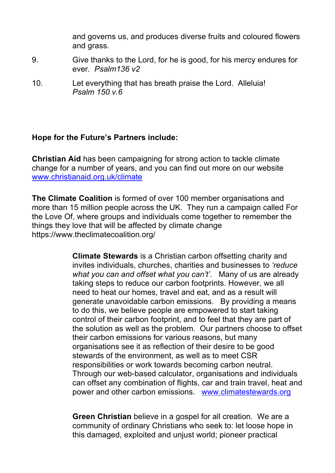and governs us, and produces diverse fruits and coloured flowers and grass.

- 9. Give thanks to the Lord, for he is good, for his mercy endures for ever. *Psalm136 v2*
- 10. Let everything that has breath praise the Lord. Alleluia! *Psalm 150 v.6*

#### **Hope for the Future's Partners include:**

**Christian Aid** has been campaigning for strong action to tackle climate change for a number of years, and you can find out more on our website www.christianaid.org.uk/climate

**The Climate Coalition** is formed of over 100 member organisations and more than 15 million people across the UK. They run a campaign called For the Love Of, where groups and individuals come together to remember the things they love that will be affected by climate change https://www.theclimatecoalition.org/

> **Climate Stewards** is a Christian carbon offsetting charity and invites individuals, churches, charities and businesses to *'reduce what you can and offset what you can't'*. Many of us are already taking steps to reduce our carbon footprints. However, we all need to heat our homes, travel and eat, and as a result will generate unavoidable carbon emissions. By providing a means to do this, we believe people are empowered to start taking control of their carbon footprint, and to feel that they are part of the solution as well as the problem. Our partners choose to offset their carbon emissions for various reasons, but many organisations see it as reflection of their desire to be good stewards of the environment, as well as to meet CSR responsibilities or work towards becoming carbon neutral. Through our web-based calculator, organisations and individuals can offset any combination of flights, car and train travel, heat and power and other carbon emissions. www.climatestewards.org

**Green Christian** believe in a gospel for all creation. We are a community of ordinary Christians who seek to: let loose hope in this damaged, exploited and unjust world; pioneer practical